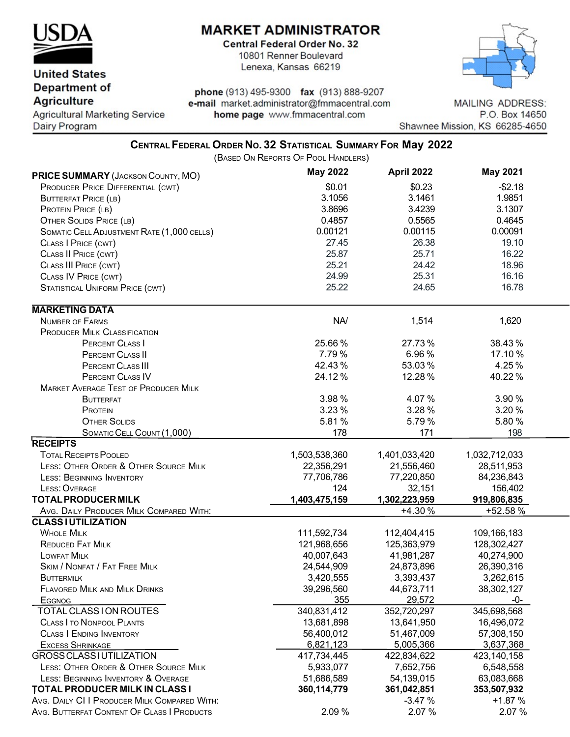

**United States** 

## **MARKET ADMINISTRATOR**

**Central Federal Order No. 32** 10801 Renner Boulevard Lenexa, Kansas 66219



**Department of Agriculture** 

**Agricultural Marketing Service** Dairy Program

phone (913) 495-9300 fax (913) 888-9207 e-mail market.administrator@fmmacentral.com home page www.fmmacentral.com

**MAILING ADDRESS:** P.O. Box 14650 Shawnee Mission, KS 66285-4650

## **CENTRAL FEDERAL ORDER NO. 32 STATISTICAL SUMMARY FOR May 2022**

(BASED ON REPORTS OF POOL HANDLERS)

| PRICE SUMMARY (JACKSON COUNTY, MO)           | <b>May 2022</b> | April 2022    | <b>May 2021</b> |  |
|----------------------------------------------|-----------------|---------------|-----------------|--|
| PRODUCER PRICE DIFFERENTIAL (CWT)            | \$0.01          | \$0.23        | $-$2.18$        |  |
| <b>BUTTERFAT PRICE (LB)</b>                  | 3.1056          | 3.1461        | 1.9851          |  |
| PROTEIN PRICE (LB)                           | 3.8696          | 3.4239        | 3.1307          |  |
| <b>OTHER SOLIDS PRICE (LB)</b>               | 0.4857          | 0.5565        | 0.4645          |  |
| SOMATIC CELL ADJUSTMENT RATE (1,000 CELLS)   | 0.00121         | 0.00115       | 0.00091         |  |
| CLASS   PRICE (CWT)                          | 27.45           | 26.38         | 19.10           |  |
| CLASS II PRICE (CWT)                         | 25.87           | 25.71         | 16.22           |  |
| CLASS III PRICE (CWT)                        | 25.21           | 24.42         | 18.96           |  |
| CLASS IV PRICE (CWT)                         | 24.99           | 25.31         | 16.16           |  |
| <b>STATISTICAL UNIFORM PRICE (CWT)</b>       | 25.22           | 24.65         | 16.78           |  |
| <b>MARKETING DATA</b>                        |                 |               |                 |  |
| <b>NUMBER OF FARMS</b>                       | NA/             | 1,514         | 1,620           |  |
| <b>PRODUCER MILK CLASSIFICATION</b>          |                 |               |                 |  |
| PERCENT CLASS I                              | 25.66%          | 27.73%        | 38.43%          |  |
| PERCENT CLASS II                             | 7.79%           | 6.96%         | 17.10 %         |  |
| PERCENT CLASS III                            | 42.43%          | 53.03%        | 4.25%           |  |
| PERCENT CLASS IV                             | 24.12%          | 12.28%        | 40.22%          |  |
| <b>MARKET AVERAGE TEST OF PRODUCER MILK</b>  |                 |               |                 |  |
|                                              | 3.98%           | 4.07%         | 3.90%           |  |
| <b>BUTTERFAT</b>                             |                 |               |                 |  |
| PROTEIN                                      | 3.23 %          | 3.28%         | 3.20%           |  |
| <b>OTHER SOLIDS</b>                          | 5.81%           | 5.79%         | 5.80%           |  |
| SOMATIC CELL COUNT (1,000)                   | 178             | 171           | 198             |  |
| <b>RECEIPTS</b>                              |                 |               |                 |  |
| <b>TOTAL RECEIPTS POOLED</b>                 | 1,503,538,360   | 1,401,033,420 | 1,032,712,033   |  |
| LESS: OTHER ORDER & OTHER SOURCE MILK        | 22,356,291      | 21,556,460    | 28,511,953      |  |
| <b>LESS: BEGINNING INVENTORY</b>             | 77,706,786      | 77,220,850    | 84,236,843      |  |
| LESS: OVERAGE                                | 124             | 32,151        | 156,402         |  |
| <b>TOTAL PRODUCER MILK</b>                   | 1,403,475,159   | 1,302,223,959 | 919,806,835     |  |
| AVG. DAILY PRODUCER MILK COMPARED WITH:      |                 | +4.30%        | +52.58%         |  |
| <b>CLASS I UTILIZATION</b>                   |                 |               |                 |  |
| <b>WHOLE MILK</b>                            | 111,592,734     | 112,404,415   | 109,166,183     |  |
| REDUCED FAT MILK                             | 121,968,656     | 125,363,979   | 128,302,427     |  |
| <b>LOWFAT MILK</b>                           | 40,007,643      | 41,981,287    | 40,274,900      |  |
| <b>SKIM / NONFAT / FAT FREE MILK</b>         | 24,544,909      | 24,873,896    | 26,390,316      |  |
| BUTTERMILK                                   | 3,420,555       | 3,393,437     | 3,262,615       |  |
| <b>FLAVORED MILK AND MILK DRINKS</b>         | 39,296,560      | 44,673,711    | 38,302,127      |  |
| <b>EGGNOG</b>                                | 355             | 29,572        | -0-             |  |
| TOTAL CLASS I ON ROUTES                      | 340,831,412     | 352,720,297   | 345,698,568     |  |
| <b>CLASS I TO NONPOOL PLANTS</b>             | 13,681,898      | 13,641,950    | 16,496,072      |  |
| <b>CLASS   ENDING INVENTORY</b>              | 56,400,012      | 51,467,009    | 57,308,150      |  |
| <b>EXCESS SHRINKAGE</b>                      | 6,821,123       | 5,005,366     | 3,637,368       |  |
| GROSS CLASS I UTILIZATION                    | 417,734,445     | 422,834,622   | 423,140,158     |  |
| LESS: OTHER ORDER & OTHER SOURCE MILK        | 5,933,077       | 7,652,756     | 6,548,558       |  |
| LESS: BEGINNING INVENTORY & OVERAGE          | 51,686,589      | 54,139,015    | 63,083,668      |  |
| <b>TOTAL PRODUCER MILK IN CLASS I</b>        | 360,114,779     | 361,042,851   | 353,507,932     |  |
| AVG. DAILY CI I PRODUCER MILK COMPARED WITH: |                 | $-3.47%$      | $+1.87%$        |  |
| AVG. BUTTERFAT CONTENT OF CLASS I PRODUCTS   | 2.09%           | 2.07 %        | 2.07%           |  |